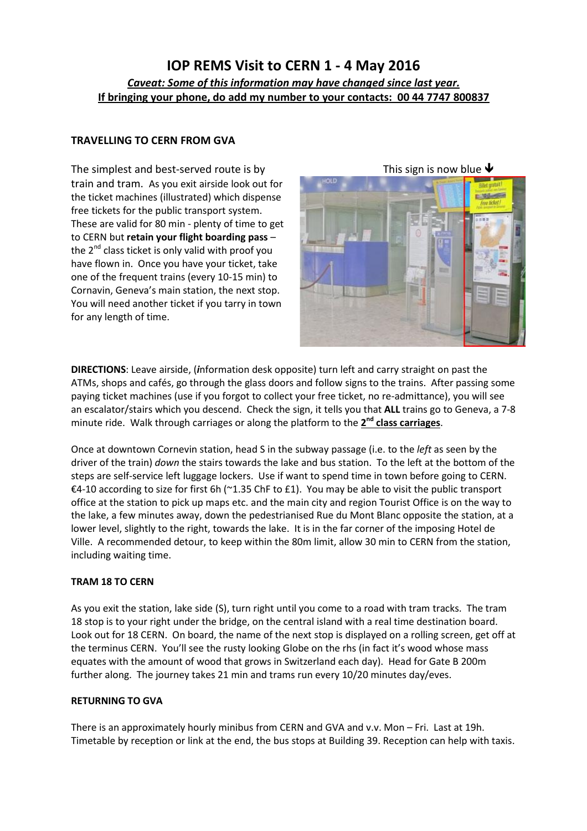# IOP REMS Visit to CERN 1 - 4 May 2016 Caveat: Some of this information may have changed since last year. If bringing your phone, do add my number to your contacts: 00 44 7747 800837

### TRAVELLING TO CERN FROM GVA

The simplest and best-served route is by train and tram. As you exit airside look out for the ticket machines (illustrated) which dispense free tickets for the public transport system. These are valid for 80 min - plenty of time to get to CERN but retain your flight boarding pass – the  $2^{nd}$  class ticket is only valid with proof you have flown in. Once you have your ticket, take one of the frequent trains (every 10-15 min) to Cornavin, Geneva's main station, the next stop. You will need another ticket if you tarry in town for any length of time.

This sign is now blue  $\blacklozenge$ 

DIRECTIONS: Leave airside, (information desk opposite) turn left and carry straight on past the ATMs, shops and cafés, go through the glass doors and follow signs to the trains. After passing some paying ticket machines (use if you forgot to collect your free ticket, no re-admittance), you will see an escalator/stairs which you descend. Check the sign, it tells you that ALL trains go to Geneva, a 7-8 minute ride. Walk through carriages or along the platform to the 2<sup>nd</sup> class carriages.

Once at downtown Cornevin station, head S in the subway passage (i.e. to the *left* as seen by the driver of the train) down the stairs towards the lake and bus station. To the left at the bottom of the steps are self-service left luggage lockers. Use if want to spend time in town before going to CERN. €4-10 according to size for first 6h (~1.35 ChF to £1). You may be able to visit the public transport office at the station to pick up maps etc. and the main city and region Tourist Office is on the way to the lake, a few minutes away, down the pedestrianised Rue du Mont Blanc opposite the station, at a lower level, slightly to the right, towards the lake. It is in the far corner of the imposing Hotel de Ville. A recommended detour, to keep within the 80m limit, allow 30 min to CERN from the station, including waiting time.

### TRAM 18 TO CERN

As you exit the station, lake side (S), turn right until you come to a road with tram tracks. The tram 18 stop is to your right under the bridge, on the central island with a real time destination board. Look out for 18 CERN. On board, the name of the next stop is displayed on a rolling screen, get off at the terminus CERN. You'll see the rusty looking Globe on the rhs (in fact it's wood whose mass equates with the amount of wood that grows in Switzerland each day). Head for Gate B 200m further along. The journey takes 21 min and trams run every 10/20 minutes day/eves.

#### RETURNING TO GVA

There is an approximately hourly minibus from CERN and GVA and v.v. Mon – Fri. Last at 19h. Timetable by reception or link at the end, the bus stops at Building 39. Reception can help with taxis.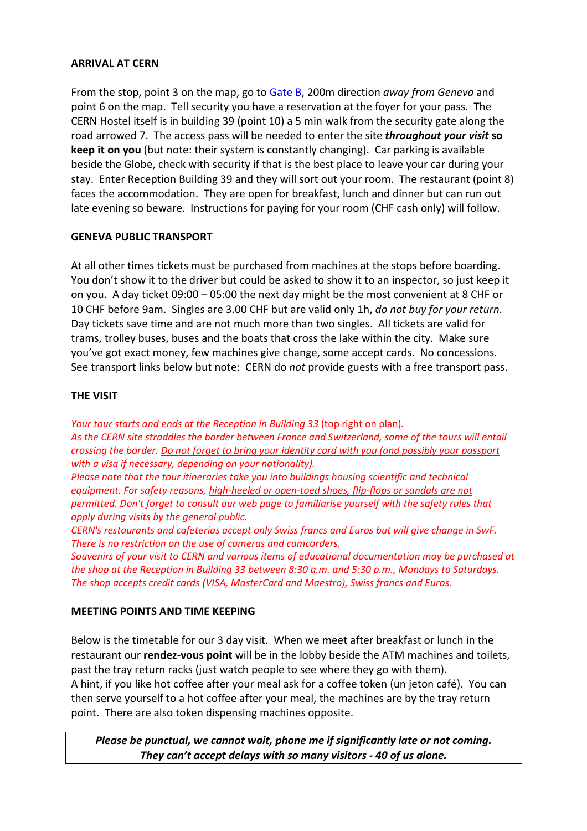### ARRIVAL AT CERN

From the stop, point 3 on the map, go to Gate B, 200m direction away from Geneva and point 6 on the map. Tell security you have a reservation at the foyer for your pass. The CERN Hostel itself is in building 39 (point 10) a 5 min walk from the security gate along the road arrowed 7. The access pass will be needed to enter the site *throughout your visit* so keep it on you (but note: their system is constantly changing). Car parking is available beside the Globe, check with security if that is the best place to leave your car during your stay. Enter Reception Building 39 and they will sort out your room. The restaurant (point 8) faces the accommodation. They are open for breakfast, lunch and dinner but can run out late evening so beware. Instructions for paying for your room (CHF cash only) will follow.

## GENEVA PUBLIC TRANSPORT

At all other times tickets must be purchased from machines at the stops before boarding. You don't show it to the driver but could be asked to show it to an inspector, so just keep it on you. A day ticket 09:00 – 05:00 the next day might be the most convenient at 8 CHF or 10 CHF before 9am. Singles are 3.00 CHF but are valid only 1h, do not buy for your return. Day tickets save time and are not much more than two singles. All tickets are valid for trams, trolley buses, buses and the boats that cross the lake within the city. Make sure you've got exact money, few machines give change, some accept cards. No concessions. See transport links below but note: CERN do not provide guests with a free transport pass.

## THE VISIT

Your tour starts and ends at the Reception in Building 33 (top right on plan). As the CERN site straddles the border between France and Switzerland, some of the tours will entail crossing the border. Do not forget to bring your identity card with you (and possibly your passport with a visa if necessary, depending on your nationality).

Please note that the tour itineraries take you into buildings housing scientific and technical equipment. For safety reasons, high-heeled or open-toed shoes, flip-flops or sandals are not permitted. Don't forget to consult our web page to familiarise yourself with the safety rules that apply during visits by the general public.

CERN's restaurants and cafeterias accept only Swiss francs and Euros but will give change in SwF. There is no restriction on the use of cameras and camcorders.

Souvenirs of your visit to CERN and various items of educational documentation may be purchased at the shop at the Reception in Building 33 between 8:30 a.m. and 5:30 p.m., Mondays to Saturdays. The shop accepts credit cards (VISA, MasterCard and Maestro), Swiss francs and Euros.

### MEETING POINTS AND TIME KEEPING

Below is the timetable for our 3 day visit. When we meet after breakfast or lunch in the restaurant our rendez-vous point will be in the lobby beside the ATM machines and toilets, past the tray return racks (just watch people to see where they go with them). A hint, if you like hot coffee after your meal ask for a coffee token (un jeton café). You can then serve yourself to a hot coffee after your meal, the machines are by the tray return point. There are also token dispensing machines opposite.

Please be punctual, we cannot wait, phone me if significantly late or not coming. They can't accept delays with so many visitors - 40 of us alone.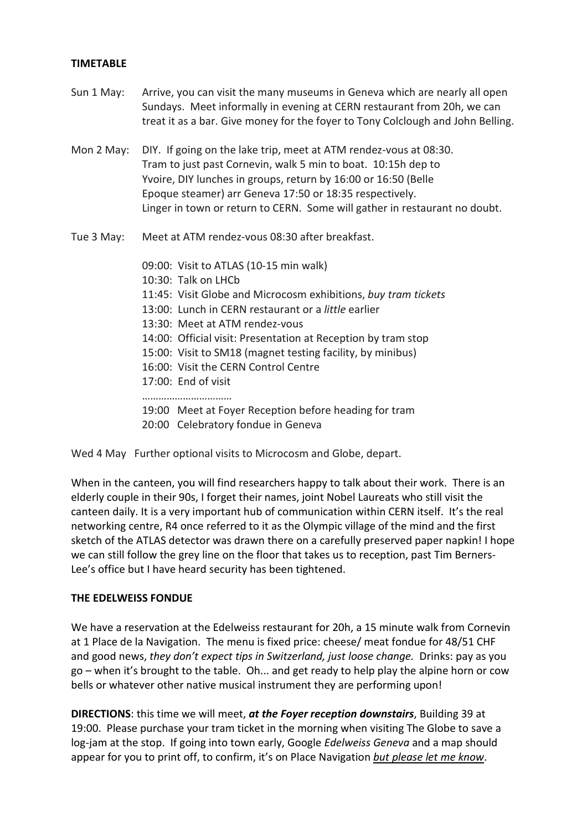#### TIMETABLE

- Sun 1 May: Arrive, you can visit the many museums in Geneva which are nearly all open Sundays. Meet informally in evening at CERN restaurant from 20h, we can treat it as a bar. Give money for the foyer to Tony Colclough and John Belling.
- Mon 2 May: DIY. If going on the lake trip, meet at ATM rendez-vous at 08:30. Tram to just past Cornevin, walk 5 min to boat. 10:15h dep to Yvoire, DIY lunches in groups, return by 16:00 or 16:50 (Belle Epoque steamer) arr Geneva 17:50 or 18:35 respectively. Linger in town or return to CERN. Some will gather in restaurant no doubt.
- Tue 3 May: Meet at ATM rendez-vous 08:30 after breakfast.

 09:00: Visit to ATLAS (10-15 min walk) 10:30: Talk on LHCb 11:45: Visit Globe and Microcosm exhibitions, buy tram tickets 13:00: Lunch in CERN restaurant or a little earlier 13:30: Meet at ATM rendez-vous 14:00: Official visit: Presentation at Reception by tram stop 15:00: Visit to SM18 (magnet testing facility, by minibus) 16:00: Visit the CERN Control Centre 17:00: End of visit …………………………… 19:00 Meet at Foyer Reception before heading for tram 20:00 Celebratory fondue in Geneva

Wed 4 May Further optional visits to Microcosm and Globe, depart.

When in the canteen, you will find researchers happy to talk about their work. There is an elderly couple in their 90s, I forget their names, joint Nobel Laureats who still visit the canteen daily. It is a very important hub of communication within CERN itself. It's the real networking centre, R4 once referred to it as the Olympic village of the mind and the first sketch of the ATLAS detector was drawn there on a carefully preserved paper napkin! I hope we can still follow the grey line on the floor that takes us to reception, past Tim Berners-Lee's office but I have heard security has been tightened.

#### THE EDELWEISS FONDUE

We have a reservation at the Edelweiss restaurant for 20h, a 15 minute walk from Cornevin at 1 Place de la Navigation. The menu is fixed price: cheese/ meat fondue for 48/51 CHF and good news, they don't expect tips in Switzerland, just loose change. Drinks: pay as you go – when it's brought to the table. Oh... and get ready to help play the alpine horn or cow bells or whatever other native musical instrument they are performing upon!

DIRECTIONS: this time we will meet, at the Foyer reception downstairs, Building 39 at 19:00. Please purchase your tram ticket in the morning when visiting The Globe to save a log-jam at the stop. If going into town early, Google *Edelweiss Geneva* and a map should appear for you to print off, to confirm, it's on Place Navigation but please let me know.